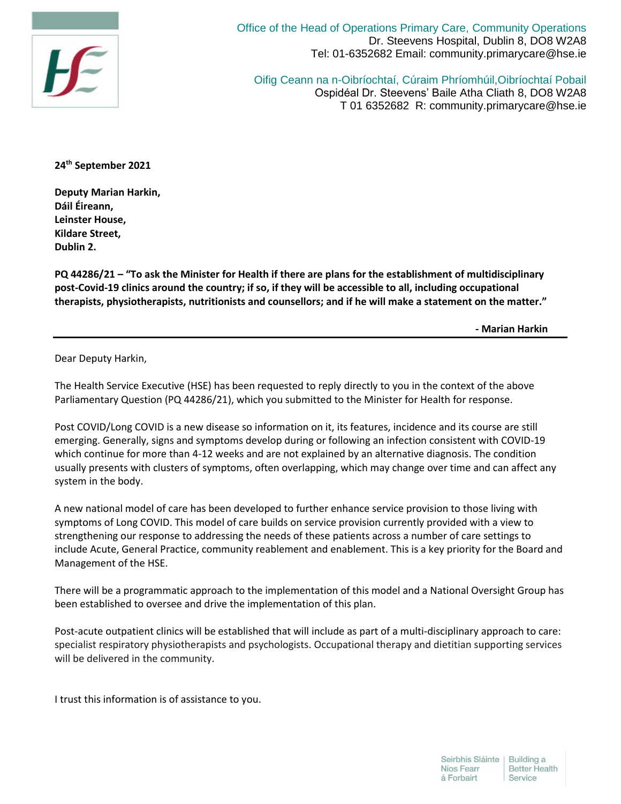

Office of the Head of Operations Primary Care, Community Operations Dr. Steevens Hospital, Dublin 8, DO8 W2A8 Tel: 01-6352682 Email: community.primarycare@hse.ie

Oifig Ceann na n-Oibríochtaí, Cúraim Phríomhúil,Oibríochtaí Pobail Ospidéal Dr. Steevens' Baile Atha Cliath 8, DO8 W2A8 T 01 6352682 R: community.primarycare@hse.ie

**24th September 2021**

**Deputy Marian Harkin, Dáil Éireann, Leinster House, Kildare Street, Dublin 2.**

**PQ 44286/21 – "To ask the Minister for Health if there are plans for the establishment of multidisciplinary post-Covid-19 clinics around the country; if so, if they will be accessible to all, including occupational therapists, physiotherapists, nutritionists and counsellors; and if he will make a statement on the matter."**

 **- Marian Harkin**

Dear Deputy Harkin,

The Health Service Executive (HSE) has been requested to reply directly to you in the context of the above Parliamentary Question (PQ 44286/21), which you submitted to the Minister for Health for response.

Post COVID/Long COVID is a new disease so information on it, its features, incidence and its course are still emerging. Generally, signs and symptoms develop during or following an infection consistent with COVID-19 which continue for more than 4-12 weeks and are not explained by an alternative diagnosis. The condition usually presents with clusters of symptoms, often overlapping, which may change over time and can affect any system in the body.

A new national model of care has been developed to further enhance service provision to those living with symptoms of Long COVID. This model of care builds on service provision currently provided with a view to strengthening our response to addressing the needs of these patients across a number of care settings to include Acute, General Practice, community reablement and enablement. This is a key priority for the Board and Management of the HSE.

There will be a programmatic approach to the implementation of this model and a National Oversight Group has been established to oversee and drive the implementation of this plan.

Post-acute outpatient clinics will be established that will include as part of a multi-disciplinary approach to care: specialist respiratory physiotherapists and psychologists. Occupational therapy and dietitian supporting services will be delivered in the community.

I trust this information is of assistance to you.